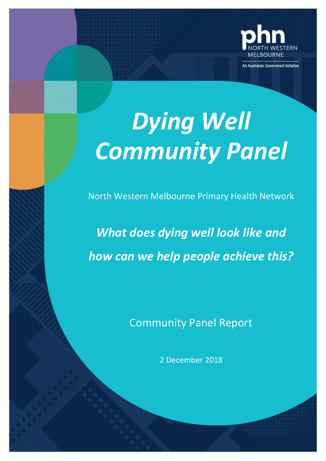

An Australian Government Initiative

*Dying Well Community Panel*

North Western Melbourne Primary Health Network

*What does dying well look like and how can we help people achieve this?*

Community Panel Report

2 December 2018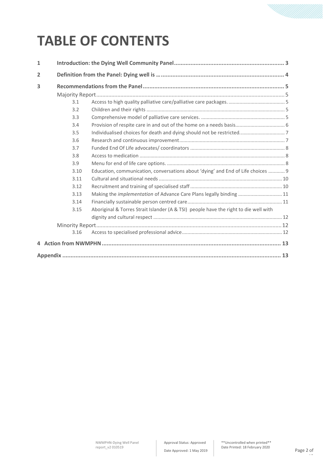# **TABLE OF CONTENTS**

| $\mathbf{1}$   |      |                                                                                      |  |  |
|----------------|------|--------------------------------------------------------------------------------------|--|--|
| $\overline{2}$ |      |                                                                                      |  |  |
| 3              |      |                                                                                      |  |  |
|                |      |                                                                                      |  |  |
|                | 3.1  |                                                                                      |  |  |
|                | 3.2  |                                                                                      |  |  |
|                | 3.3  |                                                                                      |  |  |
|                | 3.4  |                                                                                      |  |  |
|                | 3.5  |                                                                                      |  |  |
|                | 3.6  |                                                                                      |  |  |
|                | 3.7  |                                                                                      |  |  |
|                | 3.8  |                                                                                      |  |  |
|                | 3.9  |                                                                                      |  |  |
|                | 3.10 | Education, communication, conversations about 'dying' and End of Life choices  9     |  |  |
|                | 3.11 |                                                                                      |  |  |
|                | 3.12 |                                                                                      |  |  |
|                | 3.13 | Making the <i>implementation</i> of Advance Care Plans legally binding  11           |  |  |
|                | 3.14 |                                                                                      |  |  |
|                | 3.15 | Aboriginal & Torres Strait Islander (A & TSI) people have the right to die well with |  |  |
|                |      |                                                                                      |  |  |
|                |      |                                                                                      |  |  |
|                | 3.16 |                                                                                      |  |  |
|                |      |                                                                                      |  |  |
|                |      |                                                                                      |  |  |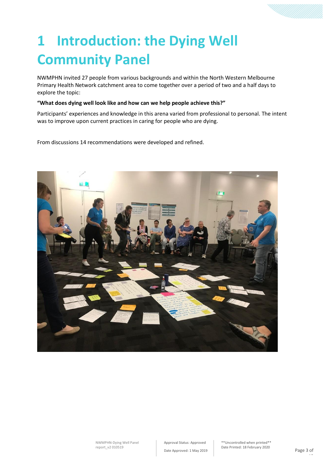# **1 Introduction: the Dying Well Community Panel**

NWMPHN invited 27 people from various backgrounds and within the North Western Melbourne Primary Health Network catchment area to come together over a period of two and a half days to explore the topic:

### **"What does dying well look like and how can we help people achieve this?"**

Participants' experiences and knowledge in this arena varied from professional to personal. The intent was to improve upon current practices in caring for people who are dying.

From discussions 14 recommendations were developed and refined.

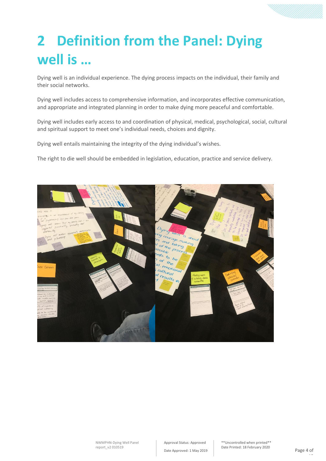# **2 Definition from the Panel: Dying well is …**

Dying well is an individual experience. The dying process impacts on the individual, their family and their social networks.

Dying well includes access to comprehensive information, and incorporates effective communication, and appropriate and integrated planning in order to make dying more peaceful and comfortable.

Dying well includes early access to and coordination of physical, medical, psychological, social, cultural and spiritual support to meet one's individual needs, choices and dignity.

Dying well entails maintaining the integrity of the dying individual's wishes.

The right to die well should be embedded in legislation, education, practice and service delivery.

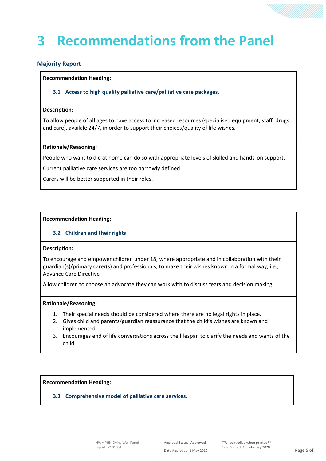# **3 Recommendations from the Panel**

# **Majority Report**

#### **Recommendation Heading:**

**3.1 Access to high quality palliative care/palliative care packages.**

#### **Description:**

To allow people of all ages to have access to increased resources (specialised equipment, staff, drugs and care), availale 24/7, in order to support their choices/quality of life wishes.

#### **Rationale/Reasoning:**

People who want to die at home can do so with appropriate levels of skilled and hands-on support.

Current palliative care services are too narrowly defined.

Carers will be better supported in their roles.

### **Recommendation Heading:**

## **3.2 Children and their rights**

#### **Description:**

To encourage and empower children under 18, where appropriate and in collaboration with their guardian(s)/primary carer(s) and professionals, to make their wishes known in a formal way, i.e., Advance Care Directive

Allow children to choose an advocate they can work with to discuss fears and decision making.

### **Rationale/Reasoning:**

- 1. Their special needs should be considered where there are no legal rights in place.
- 2. Gives child and parents/guardian reassurance that the child's wishes are known and implemented.
- 3. Encourages end of life conversations across the lifespan to clarify the needs and wants of the child.

**Recommendation Heading:** 

**3.3 Comprehensive model of palliative care services.**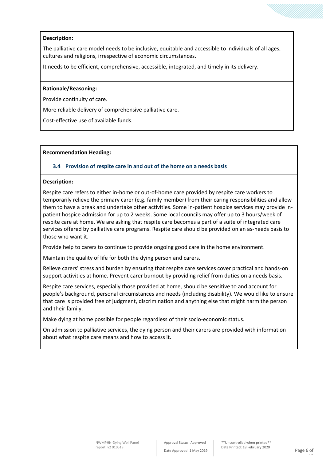### **Description:**

The palliative care model needs to be inclusive, equitable and accessible to individuals of all ages, cultures and religions, irrespective of economic circumstances.

It needs to be efficient, comprehensive, accessible, integrated, and timely in its delivery.

#### **Rationale/Reasoning:**

Provide continuity of care.

More reliable delivery of comprehensive palliative care.

Cost-effective use of available funds.

#### **Recommendation Heading:**

#### **3.4 Provision of respite care in and out of the home on a needs basis**

#### **Description:**

Respite care refers to either in-home or out-of-home care provided by respite care workers to temporarily relieve the primary carer (e.g. family member) from their caring responsibilities and allow them to have a break and undertake other activities. Some in-patient hospice services may provide inpatient hospice admission for up to 2 weeks. Some local councils may offer up to 3 hours/week of respite care at home. We are asking that respite care becomes a part of a suite of integrated care services offered by palliative care programs. Respite care should be provided on an as-needs basis to those who want it.

Provide help to carers to continue to provide ongoing good care in the home environment.

Maintain the quality of life for both the dying person and carers.

Relieve carers' stress and burden by ensuring that respite care services cover practical and hands-on support activities at home. Prevent carer burnout by providing relief from duties on a needs basis.

Respite care services, especially those provided at home, should be sensitive to and account for people's background, personal circumstances and needs (including disability). We would like to ensure that care is provided free of judgment, discrimination and anything else that might harm the person and their family.

Make dying at home possible for people regardless of their socio-economic status.

On admission to palliative services, the dying person and their carers are provided with information about what respite care means and how to access it.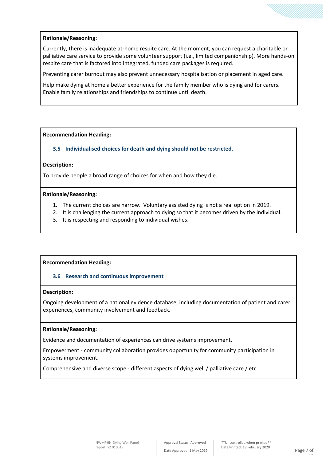## **Rationale/Reasoning:**

Currently, there is inadequate at-home respite care. At the moment, you can request a charitable or palliative care service to provide some volunteer support (i.e., limited companionship). More hands-on respite care that is factored into integrated, funded care packages is required.

Preventing carer burnout may also prevent unnecessary hospitalisation or placement in aged care.

Help make dying at home a better experience for the family member who is dying and for carers. Enable family relationships and friendships to continue until death.

### **Recommendation Heading:**

**3.5 Individualised choices for death and dying should not be restricted.**

### **Description:**

To provide people a broad range of choices for when and how they die.

#### **Rationale/Reasoning:**

- 1. The current choices are narrow. Voluntary assisted dying is not a real option in 2019.
- 2. It is challenging the current approach to dying so that it becomes driven by the individual.
- 3. It is respecting and responding to individual wishes.

### **Recommendation Heading:**

### **3.6 Research and continuous improvement**

### **Description:**

Ongoing development of a national evidence database, including documentation of patient and carer experiences, community involvement and feedback.

### **Rationale/Reasoning:**

Evidence and documentation of experiences can drive systems improvement.

Empowerment - community collaboration provides opportunity for community participation in systems improvement.

Comprehensive and diverse scope - different aspects of dying well / palliative care / etc.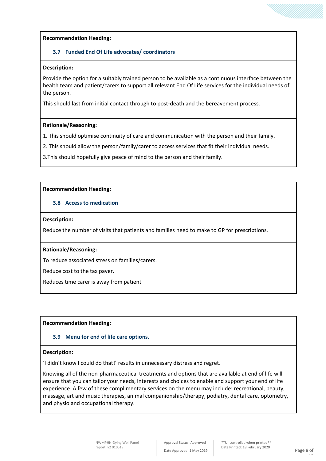# **3.7 Funded End Of Life advocates/ coordinators**

### **Description:**

Provide the option for a suitably trained person to be available as a continuous interface between the health team and patient/carers to support all relevant End Of Life services for the individual needs of the person.

This should last from initial contact through to post-death and the bereavement process.

## **Rationale/Reasoning:**

1. This should optimise continuity of care and communication with the person and their family.

2. This should allow the person/family/carer to access services that fit their individual needs.

3.This should hopefully give peace of mind to the person and their family.

## **Recommendation Heading:**

# **3.8 Access to medication**

## **Description:**

Reduce the number of visits that patients and families need to make to GP for prescriptions.

### **Rationale/Reasoning:**

To reduce associated stress on families/carers.

Reduce cost to the tax payer.

Reduces time carer is away from patient

# **Recommendation Heading:**

# **3.9 Menu for end of life care options.**

# **Description:**

'I didn't know I could do that!' results in unnecessary distress and regret.

Knowing all of the non-pharmaceutical treatments and options that are available at end of life will ensure that you can tailor your needs, interests and choices to enable and support your end of life experience. A few of these complimentary services on the menu may include: recreational, beauty, massage, art and music therapies, animal companionship/therapy, podiatry, dental care, optometry, and physio and occupational therapy.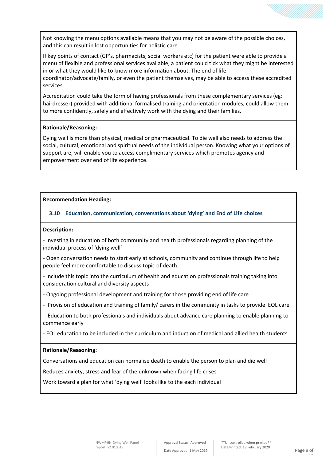Not knowing the menu options available means that you may not be aware of the possible choices, and this can result in lost opportunities for holistic care.

If key points of contact (GP's, pharmacists, social workers etc) for the patient were able to provide a menu of flexible and professional services available, a patient could tick what they might be interested in or what they would like to know more information about. The end of life coordinator/advocate/family, or even the patient themselves, may be able to access these accredited

Accreditation could take the form of having professionals from these complementary services (eg: hairdresser) provided with additional formalised training and orientation modules, could allow them to more confidently, safely and effectively work with the dying and their families.

### **Rationale/Reasoning:**

services.

Dying well is more than physical, medical or pharmaceutical. To die well also needs to address the social, cultural, emotional and spiritual needs of the individual person. Knowing what your options of support are, will enable you to access complimentary services which promotes agency and empowerment over end of life experience.

### **Recommendation Heading:**

## **3.10 Education, communication, conversations about 'dying' and End of Life choices**

#### **Description:**

- Investing in education of both community and health professionals regarding planning of the individual process of 'dying well'

- Open conversation needs to start early at schools, community and continue through life to help people feel more comfortable to discuss topic of death.

- Include this topic into the curriculum of health and education professionals training taking into consideration cultural and diversity aspects

- Ongoing professional development and training for those providing end of life care

- Provision of education and training of family/ carers in the community in tasks to provide EOL care

- Education to both professionals and individuals about advance care planning to enable planning to commence early

- EOL education to be included in the curriculum and induction of medical and allied health students

### **Rationale/Reasoning:**

Conversations and education can normalise death to enable the person to plan and die well

Reduces anxiety, stress and fear of the unknown when facing life crises

Work toward a plan for what 'dying well' looks like to the each individual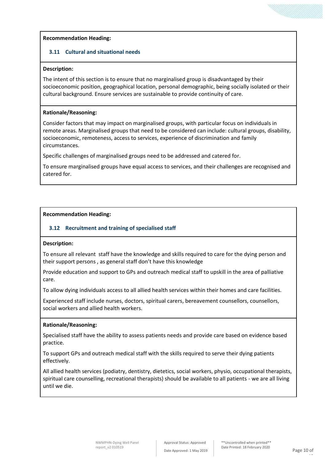## **3.11 Cultural and situational needs**

## **Description:**

The intent of this section is to ensure that no marginalised group is disadvantaged by their socioeconomic position, geographical location, personal demographic, being socially isolated or their cultural background. Ensure services are sustainable to provide continuity of care.

## **Rationale/Reasoning:**

Consider factors that may impact on marginalised groups, with particular focus on individuals in remote areas. Marginalised groups that need to be considered can include: cultural groups, disability, socioeconomic, remoteness, access to services, experience of discrimination and family circumstances.

Specific challenges of marginalised groups need to be addressed and catered for.

To ensure marginalised groups have equal access to services, and their challenges are recognised and catered for.

## **Recommendation Heading:**

# **3.12 Recruitment and training of specialised staff**

### **Description:**

To ensure all relevant staff have the knowledge and skills required to care for the dying person and their support persons , as general staff don't have this knowledge

Provide education and support to GPs and outreach medical staff to upskill in the area of palliative care.

To allow dying individuals access to all allied health services within their homes and care facilities.

Experienced staff include nurses, doctors, spiritual carers, bereavement counsellors, counsellors, social workers and allied health workers.

### **Rationale/Reasoning:**

Specialised staff have the ability to assess patients needs and provide care based on evidence based practice.

To support GPs and outreach medical staff with the skills required to serve their dying patients effectively.

All allied health services (podiatry, dentistry, dietetics, social workers, physio, occupational therapists, spiritual care counselling, recreational therapists) should be available to all patients - we are all living until we die.

13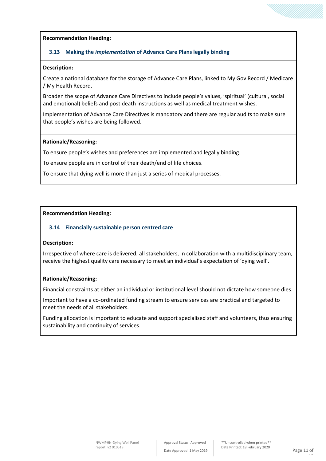## **3.13 Making the** *implementation* **of Advance Care Plans legally binding**

#### **Description:**

Create a national database for the storage of Advance Care Plans, linked to My Gov Record / Medicare / My Health Record.

Broaden the scope of Advance Care Directives to include people's values, 'spiritual' (cultural, social and emotional) beliefs and post death instructions as well as medical treatment wishes.

Implementation of Advance Care Directives is mandatory and there are regular audits to make sure that people's wishes are being followed.

#### **Rationale/Reasoning:**

To ensure people's wishes and preferences are implemented and legally binding.

To ensure people are in control of their death/end of life choices.

To ensure that dying well is more than just a series of medical processes.

### **Recommendation Heading:**

### **3.14 Financially sustainable person centred care**

#### **Description:**

Irrespective of where care is delivered, all stakeholders, in collaboration with a multidisciplinary team, receive the highest quality care necessary to meet an individual's expectation of 'dying well'.

## **Rationale/Reasoning:**

Financial constraints at either an individual or institutional level should not dictate how someone dies.

Important to have a co-ordinated funding stream to ensure services are practical and targeted to meet the needs of all stakeholders.

Funding allocation is important to educate and support specialised staff and volunteers, thus ensuring sustainability and continuity of services.

13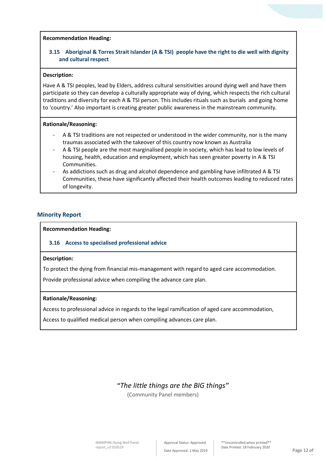# **3.15 Aboriginal & Torres Strait Islander (A & TSI) people have the right to die well with dignity and cultural respect**

#### **Description:**

Have A & TSI peoples, lead by Elders, address cultural sensitivities around dying well and have them participate so they can develop a culturally appropriate way of dying, which respects the rich cultural traditions and diversity for each A & TSI person. This includes rituals such as burials and going home to 'country.' Also important is creating greater public awareness in the mainstream community.

#### **Rationale/Reasoning:**

- A & TSI traditions are not respected or understood in the wider community, nor is the many traumas associated with the takeover of this country now known as Australia
- A & TSI people are the most marginalised people in society, which has lead to low levels of housing, health, education and employment, which has seen greater poverty in A & TSI Communities.
- As addictions such as drug and alcohol dependence and gambling have infiltrated A & TSI Communities, these have significantly affected their health outcomes leading to reduced rates of longevity.

### **Minority Report**

**Recommendation Heading:** 

### **3.16 Access to specialised professional advice**

#### **Description:**

To protect the dying from financial mis-management with regard to aged care accommodation.

Provide professional advice when compiling the advance care plan.

### **Rationale/Reasoning:**

Access to professional advice in regards to the legal ramification of aged care accommodation,

Access to qualified medical person when compiling advances care plan.

# *"The little things are the BIG things"*

(Community Panel members)

13